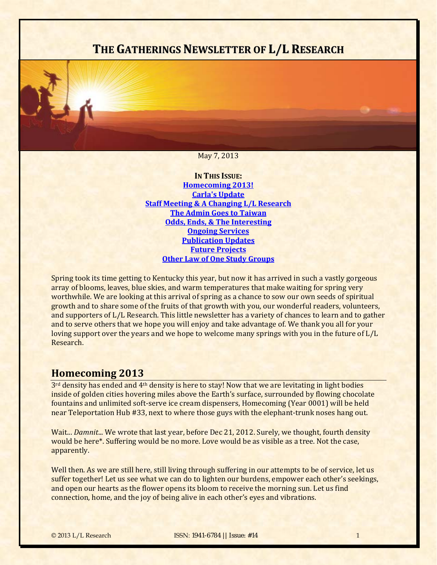# **THE GATHERINGS NEWSLETTER OF L/L RESEARCH**

#### May 7, 2013

**IN THIS ISSUE: [Homecoming](#page-0-0) 2013! Carla's [Update](#page-2-0) Staff Meeting & A [Changing](#page-2-1) L/L Research The Admin Goes to [Taiwan](#page-3-0) Odds, Ends, & The [Interesting](#page-5-0) [Ongoing](#page-8-0) Services [Publication](#page-10-0) Updates Future [Projects](#page-11-0) Other Law of One Study Groups**

Spring took its time getting to Kentucky this year, but now it has arrived in such a vastly gorgeous array of blooms, leaves, blue skies, and warm temperatures that make waiting for spring very worthwhile. We are looking at this arrival of spring as a chance to sow our own seeds of spiritual growth and to share some of the fruits of that growth with you, our wonderful readers, volunteers, and supporters of L/L Research. This little newsletter has a variety of chances to learn and to gather and to serve others that we hope you will enjoy and take advantage of. We thank you all for your loving support over the years and we hope to welcome many springs with you in the future of L/L Research. 

## <span id="page-0-0"></span>**Homecoming 2013**

 $3<sup>rd</sup>$  density has ended and  $4<sup>th</sup>$  density is here to stay! Now that we are levitating in light bodies inside of golden cities hovering miles above the Earth's surface, surrounded by flowing chocolate fountains and unlimited soft-serve ice cream dispensers, Homecoming (Year 0001) will be held near Teleportation Hub #33, next to where those guys with the elephant-trunk noses hang out.

Wait... *Damnit...* We wrote that last year, before Dec 21, 2012. Surely, we thought, fourth density would be here<sup>\*</sup>. Suffering would be no more. Love would be as visible as a tree. Not the case, apparently. 

Well then. As we are still here, still living through suffering in our attempts to be of service, let us suffer together! Let us see what we can do to lighten our burdens, empower each other's seekings, and open our hearts as the flower opens its bloom to receive the morning sun. Let us find connection, home, and the joy of being alive in each other's eyes and vibrations.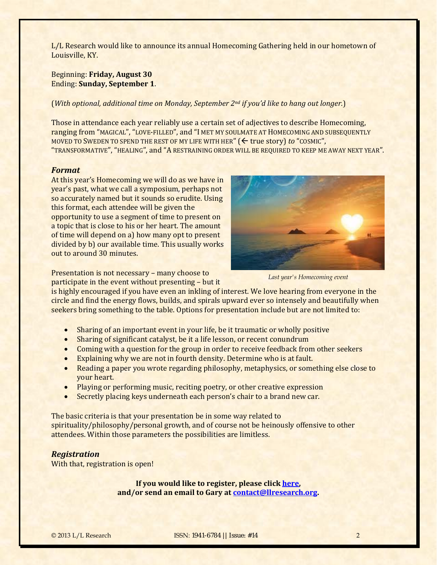L/L Research would like to announce its annual Homecoming Gathering held in our hometown of Louisville, KY.

### Beginning: **Friday, August 30** Ending: **Sunday, September 1**.

#### (*With optional, additional time on Monday, September 2nd if you'd like to hang out longer.*)

Those in attendance each year reliably use a certain set of adjectives to describe Homecoming, ranging from "MAGICAL", "LOVE-FILLED", and "I MET MY SOULMATE AT HOMECOMING AND SUBSEQUENTLY MOVED TO SWEDEN TO SPEND THE REST OF MY LIFE WITH HER" (← true story) to "COSMIC", "TRANSFORMATIVE", "HEALING", and "A RESTRAINING ORDER WILL BE REQUIRED TO KEEP ME AWAY NEXT YEAR".

#### *Format*

At this year's Homecoming we will do as we have in year's past, what we call a symposium, perhaps not so accurately named but it sounds so erudite. Using this format, each attendee will be given the opportunity to use a segment of time to present on a topic that is close to his or her heart. The amount of time will depend on a) how many opt to present divided by b) our available time. This usually works out to around 30 minutes.

*Last year's Homecoming event* 

Presentation is not necessary – many choose to

participate in the event without presenting  $-$  but it

is highly encouraged if you have even an inkling of interest. We love hearing from everyone in the circle and find the energy flows, builds, and spirals upward ever so intensely and beautifully when seekers bring something to the table. Options for presentation include but are not limited to:

- Sharing of an important event in your life, be it traumatic or wholly positive
- Sharing of significant catalyst, be it a life lesson, or recent conundrum
- Coming with a question for the group in order to receive feedback from other seekers
- $\bullet$ Explaining why we are not in fourth density. Determine who is at fault.
- Reading a paper you wrote regarding philosophy, metaphysics, or something else close to your heart.
- Playing or performing music, reciting poetry, or other creative expression
- Secretly placing keys underneath each person's chair to a brand new car.

The basic criteria is that your presentation be in some way related to spirituality/philosophy/personal growth, and of course not be heinously offensive to other attendees. Within those parameters the possibilities are limitless.

### *Registration*

With that, registration is open!

**If you would like to register, please click [here,](http://store.bring4th.org/product_info.php?cPath=26&products_id=90) and/or send an email to Gary at [contact@llresearch.org.](mailto:contact@llresearch.org)**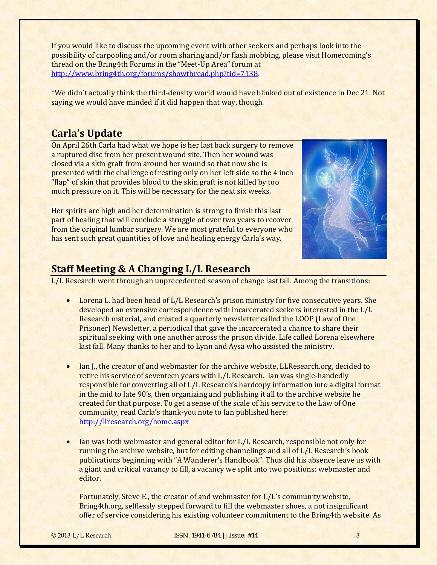If you would like to discuss the upcoming event with other seekers and perhaps look into the possibility of carpooling and/or room sharing and/or flash mobbing, please visit Homecoming's thread on the Bring4th Forums in the "Meet-Up Area" forum at http://www.bring4th.org/forums/showthread.php?tid=7138. 

\*We didn't actually think the third-density world would have blinked out of existence in Dec 21. Not saying we would have minded if it did happen that way, though.

## <span id="page-2-0"></span>**Carla's Update**

On April 26th Carla had what we hope is her last back surgery to remove a ruptured disc from her present wound site. Then her wound was closed via a skin graft from around her wound so that now she is presented with the challenge of resting only on her left side so the 4 inch "flap" of skin that provides blood to the skin graft is not killed by too much pressure on it. This will be necessary for the next six weeks.

Her spirits are high and her determination is strong to finish this last part of healing that will conclude a struggle of over two years to recover from the original lumbar surgery. We are most grateful to everyone who has sent such great quantities of love and healing energy Carla's way.



## <span id="page-2-1"></span>**Staff Meeting & A Changing L/L Research**

 $L/L$  Research went through an unprecedented season of change last fall. Among the transitions:

- Lorena L. had been head of  $L/L$  Research's prison ministry for five consecutive years. She developed an extensive correspondence with incarcerated seekers interested in the L/L Research material, and created a quarterly newsletter called the LOOP (Law of One Prisoner) Newsletter, a periodical that gave the incarcerated a chance to share their spiritual seeking with one another across the prison divide. Life called Lorena elsewhere last fall. Many thanks to her and to Lynn and Aysa who assisted the ministry.
- Ian I., the creator of and webmaster for the archive website, LLResearch.org, decided to retire his service of seventeen years with  $L/L$  Research. Ian was single-handedly responsible for converting all of L/L Research's hardcopy information into a digital format in the mid to late  $90's$ , then organizing and publishing it all to the archive website he created for that purpose. To get a sense of the scale of his service to the Law of One community, read Carla's thank-you note to Ian published here: http://llresearch.org/home.aspx
- Ian was both webmaster and general editor for L/L Research, responsible not only for running the archive website, but for editing channelings and all of L/L Research's book publications beginning with "A Wanderer's Handbook". Thus did his absence leave us with a giant and critical vacancy to fill, a vacancy we split into two positions: webmaster and editor.

Fortunately, Steve E., the creator of and webmaster for L/L's community website, Bring4th.org, selflessly stepped forward to fill the webmaster shoes, a not insignificant offer of service considering his existing volunteer commitment to the Bring4th website. As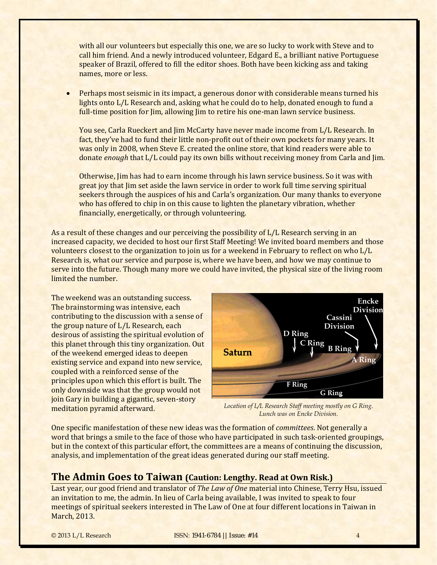with all our volunteers but especially this one, we are so lucky to work with Steve and to call him friend. And a newly introduced volunteer, Edgard E., a brilliant native Portuguese speaker of Brazil, offered to fill the editor shoes. Both have been kicking ass and taking names, more or less.

• Perhaps most seismic in its impact, a generous donor with considerable means turned his lights onto  $L/L$  Research and, asking what he could do to help, donated enough to fund a full-time position for  $\lim$ , allowing  $\lim$  to retire his one-man lawn service business.

You see, Carla Rueckert and Jim McCarty have never made income from L/L Research. In fact, they've had to fund their little non-profit out of their own pockets for many years. It was only in 2008, when Steve E. created the online store, that kind readers were able to donate *enough* that L/L could pay its own bills without receiving money from Carla and Jim.

Otherwise, Jim has had to earn income through his lawn service business. So it was with great joy that  $\lim$  set aside the lawn service in order to work full time serving spiritual seekers through the auspices of his and Carla's organization. Our many thanks to everyone who has offered to chip in on this cause to lighten the planetary vibration, whether financially, energetically, or through volunteering.

As a result of these changes and our perceiving the possibility of L/L Research serving in an increased capacity, we decided to host our first Staff Meeting! We invited board members and those volunteers closest to the organization to join us for a weekend in February to reflect on who L/L Research is, what our service and purpose is, where we have been, and how we may continue to serve into the future. Though many more we could have invited, the physical size of the living room limited the number.

The weekend was an outstanding success. The brainstorming was intensive, each contributing to the discussion with a sense of the group nature of  $L/L$  Research, each desirous of assisting the spiritual evolution of this planet through this tiny organization. Out of the weekend emerged ideas to deepen existing service and expand into new service, coupled with a reinforced sense of the principles upon which this effort is built. The only downside was that the group would not join Gary in building a gigantic, seven-story



*Location of L/L Research Staff meeting mostly on G Ring.*  **Inveditation pyramid afterward.** *Location of L/L Research Staff meeting mosti*<br>*Lunch was on Encke Division.* 

One specific manifestation of these new ideas was the formation of *committees*. Not generally a word that brings a smile to the face of those who have participated in such task-oriented groupings, but in the context of this particular effort, the committees are a means of continuing the discussion, analysis, and implementation of the great ideas generated during our staff meeting.

## <span id="page-3-0"></span>**The Admin Goes to Taiwan (Caution: Lengthy. Read at Own Risk.)**

Last year, our good friend and translator of *The Law of One* material into Chinese, Terry Hsu, issued an invitation to me, the admin. In lieu of Carla being available, I was invited to speak to four meetings of spiritual seekers interested in The Law of One at four different locations in Taiwan in March, 2013.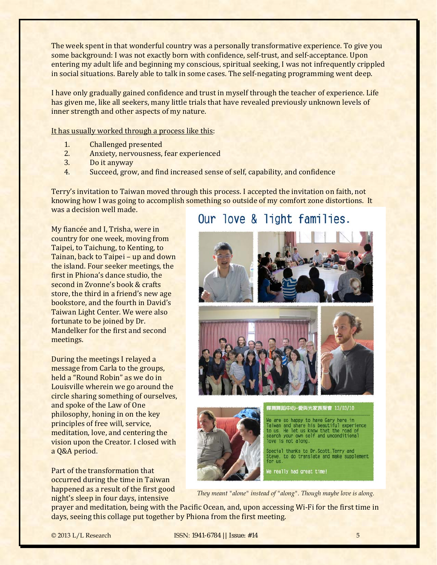The week spent in that wonderful country was a personally transformative experience. To give you some background: I was not exactly born with confidence, self-trust, and self-acceptance. Upon entering my adult life and beginning my conscious, spiritual seeking, I was not infrequently crippled in social situations. Barely able to talk in some cases. The self-negating programming went deep.

I have only gradually gained confidence and trust in myself through the teacher of experience. Life has given me, like all seekers, many little trials that have revealed previously unknown levels of inner strength and other aspects of my nature.

It has usually worked through a process like this:

- 1. Challenged presented
- 2. Anxiety, nervousness, fear experienced
- 3. Do it anyway
- 4. Succeed, grow, and find increased sense of self, capability, and confidence

Terry's invitation to Taiwan moved through this process. I accepted the invitation on faith, not knowing how I was going to accomplish something so outside of my comfort zone distortions. It was a decision well made.

## My fiancée and I, Trisha, were in country for one week, moving from Taipei, to Taichung, to Kenting, to Tainan, back to Taipei – up and down the island. Four seeker meetings, the first in Phiona's dance studio, the second in Zyonne's book & crafts store, the third in a friend's new age bookstore, and the fourth in David's Taiwan Light Center. We were also fortunate to be joined by Dr. Mandelker for the first and second meetings.

During the meetings I relayed a message from Carla to the groups, held a "Round Robin" as we do in Louisville wherein we go around the circle sharing something of ourselves, and spoke of the Law of One philosophy, honing in on the key principles of free will, service, meditation, love, and centering the vision upon the Creator. I closed with a Q&A period.

Part of the transformation that occurred during the time in Taiwan happened as a result of the first good night's sleep in four days, intensive

# Our love & light families.





We are so happy to have Gary here in<br>Taiwan and share his beautiful experience<br>to us. He let us know that the road of<br>search your own self and unconditional love is not along.

Special thanks to Dr.Scott,Terry and<br>Steve, to do translate and make supplement<br>for us.

e really had great time!

*They meant "alone" instead of "along". Though maybe love is along.* 

prayer and meditation, being with the Pacific Ocean, and, upon accessing Wi-Fi for the first time in days, seeing this collage put together by Phiona from the first meeting.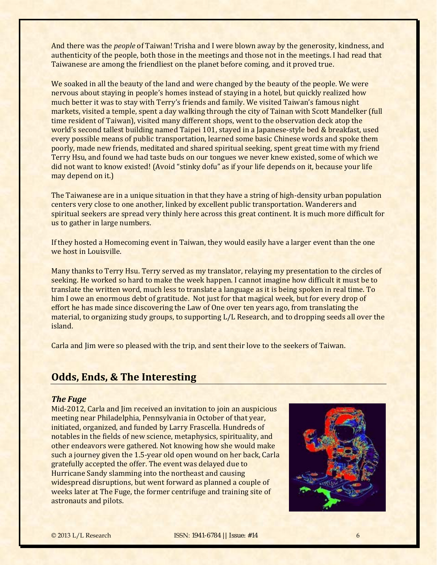And there was the *people* of Taiwan! Trisha and I were blown away by the generosity, kindness, and authenticity of the people, both those in the meetings and those not in the meetings. I had read that Taiwanese are among the friendliest on the planet before coming, and it proved true.

We soaked in all the beauty of the land and were changed by the beauty of the people. We were nervous about staying in people's homes instead of staying in a hotel, but quickly realized how much better it was to stay with Terry's friends and family. We visited Taiwan's famous night markets, visited a temple, spent a day walking through the city of Tainan with Scott Mandelker (full time resident of Taiwan), visited many different shops, went to the observation deck atop the world's second tallest building named Taipei 101, stayed in a Japanese-style bed & breakfast, used every possible means of public transportation, learned some basic Chinese words and spoke them poorly, made new friends, meditated and shared spiritual seeking, spent great time with my friend Terry Hsu, and found we had taste buds on our tongues we never knew existed, some of which we did not want to know existed! (Avoid "stinky dofu" as if your life depends on it, because your life may depend on it.)

The Taiwanese are in a unique situation in that they have a string of high-density urban population centers very close to one another, linked by excellent public transportation. Wanderers and spiritual seekers are spread very thinly here across this great continent. It is much more difficult for us to gather in large numbers.

If they hosted a Homecoming event in Taiwan, they would easily have a larger event than the one we host in Louisville.

Many thanks to Terry Hsu. Terry served as my translator, relaying my presentation to the circles of seeking. He worked so hard to make the week happen. I cannot imagine how difficult it must be to translate the written word, much less to translate a language as it is being spoken in real time. To him I owe an enormous debt of gratitude. Not just for that magical week, but for every drop of effort he has made since discovering the Law of One over ten years ago, from translating the material, to organizing study groups, to supporting L/L Research, and to dropping seeds all over the island. 

Carla and Jim were so pleased with the trip, and sent their love to the seekers of Taiwan.

## <span id="page-5-0"></span>**Odds, Ends, & The Interesting**

#### *The Fuge*

Mid-2012, Carla and Jim received an invitation to join an auspicious meeting near Philadelphia, Pennsylvania in October of that year, initiated, organized, and funded by Larry Frascella. Hundreds of notables in the fields of new science, metaphysics, spirituality, and other endeavors were gathered. Not knowing how she would make such a journey given the 1.5-year old open wound on her back, Carla gratefully accepted the offer. The event was delayed due to Hurricane Sandy slamming into the northeast and causing widespread disruptions, but went forward as planned a couple of weeks later at The Fuge, the former centrifuge and training site of astronauts and pilots.

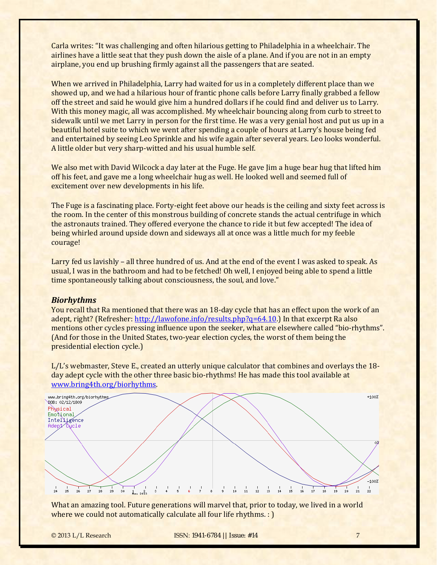Carla writes: "It was challenging and often hilarious getting to Philadelphia in a wheelchair. The airlines have a little seat that they push down the aisle of a plane. And if you are not in an empty airplane, you end up brushing firmly against all the passengers that are seated.

When we arrived in Philadelphia, Larry had waited for us in a completely different place than we showed up, and we had a hilarious hour of frantic phone calls before Larry finally grabbed a fellow off the street and said he would give him a hundred dollars if he could find and deliver us to Larry. With this money magic, all was accomplished. My wheelchair bouncing along from curb to street to sidewalk until we met Larry in person for the first time. He was a very genial host and put us up in a beautiful hotel suite to which we went after spending a couple of hours at Larry's house being fed and entertained by seeing Leo Sprinkle and his wife again after several years. Leo looks wonderful. A little older but very sharp-witted and his usual humble self.

We also met with David Wilcock a day later at the Fuge. He gave Jim a huge bear hug that lifted him off his feet, and gave me a long wheelchair hug as well. He looked well and seemed full of excitement over new developments in his life.

The Fuge is a fascinating place. Forty-eight feet above our heads is the ceiling and sixty feet across is the room. In the center of this monstrous building of concrete stands the actual centrifuge in which the astronauts trained. They offered everyone the chance to ride it but few accepted! The idea of being whirled around upside down and sideways all at once was a little much for my feeble courage! 

Larry fed us lavishly – all three hundred of us. And at the end of the event I was asked to speak. As usual, I was in the bathroom and had to be fetched! Oh well, I enjoyed being able to spend a little time spontaneously talking about consciousness, the soul, and love."

### *Biorhythms*

You recall that Ra mentioned that there was an 18-day cycle that has an effect upon the work of an adept, right? (Refresher: [http://lawofone.info/results.php?q=64.10.](http://lawofone.info/results.php?q=64.10)) In that excerpt Ra also mentions other cycles pressing influence upon the seeker, what are elsewhere called "bio-rhythms". (And for those in the United States, two-year election cycles, the worst of them being the presidential election cycle.)

 $L/L's$  webmaster, Steve E., created an utterly unique calculator that combines and overlays the 18day adept cycle with the other three basic bio-rhythms! He has made this tool available at www.bring4th.org/biorhythms. 



What an amazing tool. Future generations will marvel that, prior to today, we lived in a world where we could not automatically calculate all four life rhythms.  $:$  )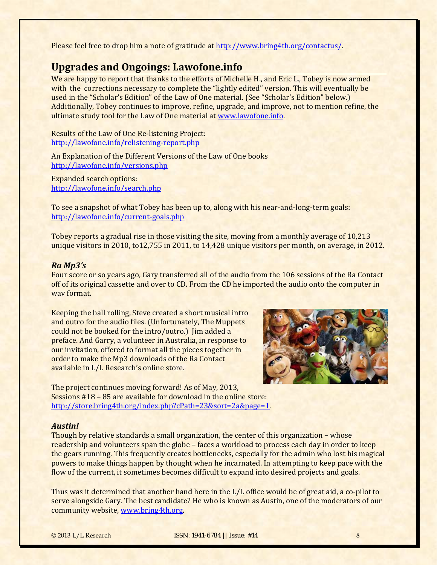Please feel free to drop him a note of gratitude at <http://www.bring4th.org/contactus/>.

## **Upgrades and Ongoings: Lawofone.info**

We are happy to report that thanks to the efforts of Michelle H., and Eric L., Tobey is now armed with the corrections necessary to complete the "lightly edited" version. This will eventually be used in the "Scholar's Edition" of the Law of One material. (See "Scholar's Edition" below.) Additionally, Tobey continues to improve, refine, upgrade, and improve, not to mention refine, the ultimate study tool for the Law of One material at www.lawofone.info.

Results of the Law of One Re-listening Project: http://lawofone.info/relistening‐report.php

An Explanation of the Different Versions of the Law of One books [http://lawofone.info/versi](http://lawofone.info/search.php)ons.php

Expanded search options: [http://lawofone.info/search.php](http://lawofone.info/current-goals.php)

To see a snapshot of what Tobey has been up to, along with his near-and-long-term goals: http://lawofone.info/current‐goals.php

Tobey reports a gradual rise in those visiting the site, moving from a monthly average of 10,213 unique visitors in 2010, to12,755 in 2011, to  $14,428$  unique visitors per month, on average, in 2012.

#### *Ra Mp3's*

Four score or so years ago, Gary transferred all of the audio from the 106 sessions of the Ra Contact off of its original cassette and over to CD. From the CD he imported the audio onto the computer in way format.

Keeping the ball rolling, Steve created a short musical intro and outro for the audio files. (Unfortunately, The Muppets could not be booked for the intro/outro.) I im added a preface. And Garry, a volunteer in Australia, in response to our invitation, offered to format all the pieces together in order to make the Mp3 downloads of the Ra Contact available in L/L Research's online store.



The project continues moving forward! As of May, 2013, Sessions  $#18 - 85$  are available for download in the online store: [http://store.bring4th.org/index.php?cPath=23&sort=2a&page=1.](http://store.bring4th.org/index.php?cPath=23&sort=2a&page=1) 

#### *Austin!*

Though by relative standards a small organization, the center of this organization - whose readership and volunteers span the globe – faces a workload to process each day in order to keep the gears running. This frequently creates bottlenecks, especially for the admin who lost his magical powers to make things happen by thought when he incarnated. In attempting to keep pace with the flow of the current, it sometimes becomes difficult to expand into desired projects and goals.

Thus was it determined that another hand here in the L/L office would be of great aid, a co-pilot to serve alongside Gary. The best candidate? He who is known as Austin, one of the moderators of our community website, www.bring4th.org.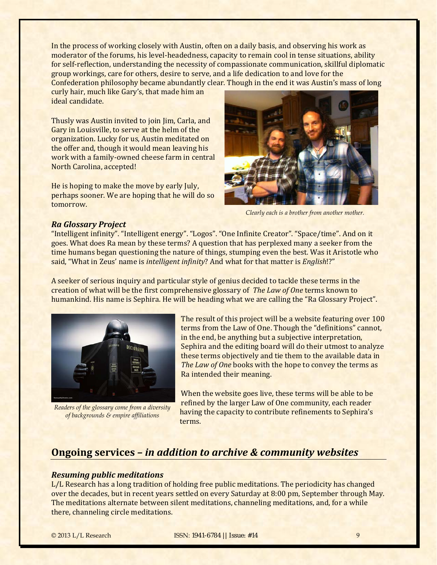In the process of working closely with Austin, often on a daily basis, and observing his work as moderator of the forums, his level-headedness, capacity to remain cool in tense situations, ability for self-reflection, understanding the necessity of compassionate communication, skillful diplomatic group workings, care for others, desire to serve, and a life dedication to and love for the Confederation philosophy became abundantly clear. Though in the end it was Austin's mass of long

curly hair, much like Gary's, that made him an ideal candidate.

Thusly was Austin invited to join Jim, Carla, and Gary in Louisville, to serve at the helm of the organization. Lucky for us, Austin meditated on the offer and, though it would mean leaving his work with a family-owned cheese farm in central North Carolina, accepted!

He is hoping to make the move by early July, perhaps sooner. We are hoping that he will do so tomorrow. 



*Clearly each is a brother from another mother.*

#### *Ra Glossary Project*

"Intelligent infinity". "Intelligent energy". "Logos". "One Infinite Creator". "Space/time". And on it goes. What does Ra mean by these terms? A question that has perplexed many a seeker from the time humans began questioning the nature of things, stumping even the best. Was it Aristotle who said, "What in Zeus' name is *intelligent infinity*? And what for that matter is *English*!?"

A seeker of serious inquiry and particular style of genius decided to tackle these terms in the creation of what will be the first comprehensive glossary of *The Law of One* terms known to humankind. His name is Sephira. He will be heading what we are calling the "Ra Glossary Project".



*Readers of the glossary come from a diversity of backgrounds & empire affiliations* 

The result of this project will be a website featuring over 100 terms from the Law of One. Though the "definitions" cannot, in the end, be anything but a subjective interpretation, Sephira and the editing board will do their utmost to analyze these terms objectively and tie them to the available data in *The Law of One* books with the hope to convey the terms as Ra intended their meaning.

When the website goes live, these terms will be able to be refined by the larger Law of One community, each reader having the capacity to contribute refinements to Sephira's terms. 

## <span id="page-8-0"></span>**Ongoing services –** *in addition to archive & community websites*

### *Resuming public meditations*

L/L Research has a long tradition of holding free public meditations. The periodicity has changed over the decades, but in recent years settled on every Saturday at 8:00 pm, September through May. The meditations alternate between silent meditations, channeling meditations, and, for a while there, channeling circle meditations.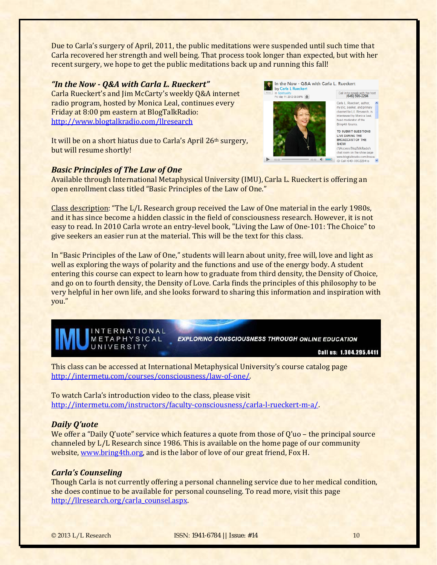Due to Carla's surgery of April, 2011, the public meditations were suspended until such time that Carla recovered her strength and well being. That process took longer than expected, but with her recent surgery, we hope to get the public meditations back up and running this fall!

#### *"In the Now ‐ Q&A with Carla L. Rueckert"*

Carla Rueckert's and Jim McCarty's weekly Q&A internet radio program, hosted by Monica Leal, continues every Friday at 8:00 pm eastern at BlogTalkRadio: http://www.blogtalkradio.com/llresearch

It will be on a short hiatus due to Carla's April 26th surgery, but will resume shortly!

### *Basic Principles of The Law of One*

Available through International Metaphysical University (IMU), Carla L. Rueckert is offering an open enrollment class titled "Basic Principles of the Law of One."

Class description: "The L/L Research group received the Law of One material in the early 1980s, and it has since become a hidden classic in the field of consciousness research. However, it is not easy to read. In 2010 Carla wrote an entry-level book, "Living the Law of One-101: The Choice" to give seekers an easier run at the material. This will be the text for this class.

In "Basic Principles of the Law of One," students will learn about unity, free will, love and light as well as exploring the ways of polarity and the functions and use of the energy body. A student entering this course can expect to learn how to graduate from third density, the Density of Choice, and go on to fourth density, the Density of Love. Carla finds the principles of this philosophy to be very helpful in her own life, and she looks forward to sharing this information and inspiration with you." 



**EXPLORING CONSCIOUSNESS THROUGH ONLINE EDUCATION** 

Call us: 1.304.295.4411

In the Now - Q&A with Carla L. Rueckert

Call in to speak with the ho<br>(646) 595-2294

Carla L. Rueckert, author. mystic, seeker, author,<br>mystic, seeker, and primary<br>channel for L/L Research, is **Interviewed by Monica Leal,** head moderator of the Bring4th forums TO SUBMIT QUESTIONS LIVE DURING THE<br>BROADCAST OF THE **SHOW** 

(1)Access BlogTalkRadio's<br>chat room on the show page ww.blogtalkradio.com 20 Call (646) 595-2294 to

by Carla L Rueckert

n Spirituality<br>Fri, May 11, 2012 08:00PM | **@** |

This class can be accessed at International Metaphysical University's course catalog page [http://intermetu.com/courses/consciousness/law‐of‐one/.](http://intermetu.com/instructors/faculty-consciousness/carla-l-rueckert-m-a/) 

To watch Carla's introduction video to the class, please visit [http://intermetu.com/instructors/faculty‐consciousness/carla‐l‐rueckert‐m‐a/](http://intermetu.com/instructors/faculty-consciousness/carla-l-rueckert-m-a/). 

#### *Daily Q'uote*

We offer a "Daily Q'uote" service which features a quote from those of  $Q'$ uo – the principal source channeled by L/L Research since 1986. This is available on the home page of our community website, www.bring4th.org, and is the labor of love of our great friend, Fox H.

#### *Carla's Counseling*

Though Carla is not currently offering a personal channeling service due to her medical condition, she does continue to be available for personal counseling. To read more, visit this page [http://llresearch.org/carla\\_counsel.aspx.](http://llresearch.org/carla_counsel.aspx)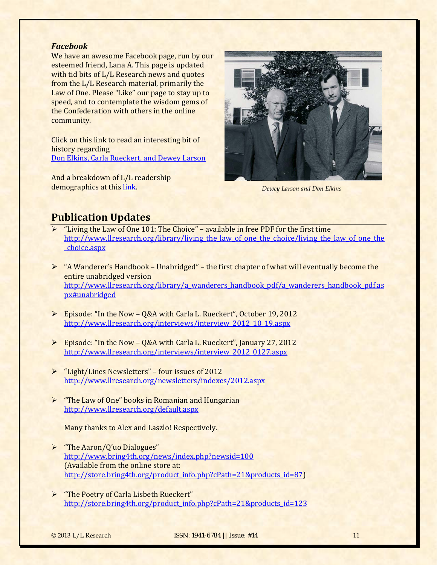#### *Facebook*

We have an awesome Facebook page, run by our esteemed friend, Lana A. This page is updated with tid bits of L/L Research news and quotes from the L/L Research material, primarily the Law of One. Please "Like" our page to stay up to speed, and to contemplate the wisdom gems of the Confederation with others in the online community. 

Click on this link to read an interesting bit of history regarding Don Elkins, Carla Rueckert, and Dewey Larson

And a breakdown of L/L readership demographics at this <u>link</u>. *Dewey Larson and Don Elkins* 



## <span id="page-10-0"></span>**Publication Updates**

- $\triangleright$  "Living the Law of One 101: The Choice" available in free PDF for the first time http://www.llresearch.org/library/living the law of one the choice/living the law of one the \_choice.aspx
- $\triangleright$  "A Wanderer's Handbook Unabridged" the first chapter of what will eventually become the entire unabridged version [http://www.llresearch.org/library/a\\_wanderers\\_handbook\\_pdf/a\\_wanderers\\_handbook\\_pdf.as](http://www.llresearch.org/library/a_wanderers_handbook_pdf/a_wanderers_handbook_pdf.aspx#unabridged) px#unabridged
- $\triangleright$  Episode: "In the Now Q&A with Carla L. Rueckert", October 19, 2012 http://www.llresearch.org/interviews/interview\_2012\_10\_19.aspx
- $\triangleright$  Episode: "In the Now Q&A with Carla L. Rueckert", January 27, 2012 http://www.llresearch.org/interviews/interview\_2012\_0127.aspx
- $\triangleright$  "Light/Lines Newsletters" four issues of 2012 http://www.llresearch.org/newsletters/indexes/2012.aspx
- $\triangleright$  "The Law of One" books in Romanian and Hungarian http://www.llresearch.org/default.aspx

Many thanks to Alex and Laszlo! Respectively.

- $\triangleright$  "The Aaron/Q'uo Dialogues" <http://www.bring4th.org/news/index.php?newsid=100> (Available from the online store at: http://store.bring4th.org/product\_info.php?cPath=21&products\_id=87)
- > "The Poetry of Carla Lisbeth Rueckert" [http://store.bring4th.org/product\\_info.php?cPath=21&products\\_id=123](http://store.bring4th.org/product_info.php?cPath=21&products_id=123)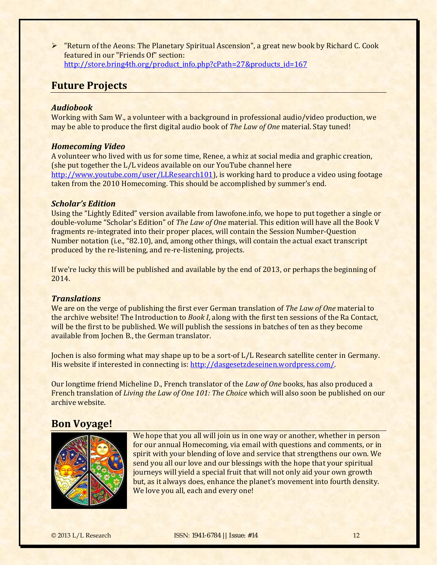$\triangleright$  "Return of the Aeons: The Planetary Spiritual Ascension", a great new book by Richard C. Cook featured in our "Friends Of" section: [http://store.bring4th.org/product\\_info.php?cPath=27&products\\_id=167](http://store.bring4th.org/product_info.php?cPath=27&products_id=167)

## <span id="page-11-0"></span>**Future Projects**

#### *Audiobook*

Working with Sam W., a volunteer with a background in professional audio/video production, we may be able to produce the first digital audio book of *The Law of One* material. Stay tuned!

## *Homecoming Video*

A volunteer who lived with us for some time, Renee, a whiz at social media and graphic creation, (she put together the L/L videos available on our YouTube channel here [http://www.youtube.com/user/LLResearch101\)](http://www.youtube.com/user/LLResearch101), is working hard to produce a video using footage taken from the 2010 Homecoming. This should be accomplished by summer's end.

#### *Scholar's Edition*

Using the "Lightly Edited" version available from lawofone.info, we hope to put together a single or double-volume "Scholar's Edition" of *The Law of One* material. This edition will have all the Book V fragments re-integrated into their proper places, will contain the Session Number-Question Number notation (i.e., "82.10), and, among other things, will contain the actual exact transcript produced by the re-listening, and re-re-listening, projects.

If we're lucky this will be published and available by the end of 2013, or perhaps the beginning of 2014. 

### *Translations*

We are on the verge of publishing the first ever German translation of *The Law of One* material to the archive website! The Introduction to *Book I*, along with the first ten sessions of the Ra Contact, will be the first to be published. We will publish the sessions in batches of ten as they become available from Jochen B., the German translator.

Jochen is also forming what may shape up to be a sort-of L/L Research satellite center in Germany. His website if interested in connecting is: http://dasgesetzdeseinen.wordpress.com/

Our longtime friend Micheline D., French translator of the *Law of One* books, has also produced a French translation of *Living the Law of One* 101: The *Choice* which will also soon be published on our archive website.

## **Bon Voyage!**



We hope that you all will join us in one way or another, whether in person for our annual Homecoming, via email with questions and comments, or in spirit with your blending of love and service that strengthens our own. We send you all our love and our blessings with the hope that your spiritual journeys will yield a special fruit that will not only aid your own growth but, as it always does, enhance the planet's movement into fourth density. We love you all, each and every one!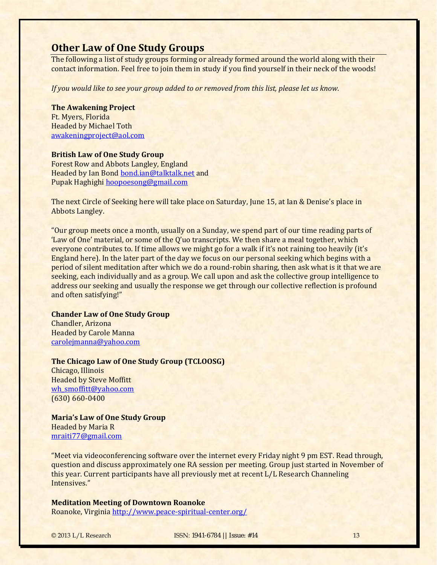## **Other Law of One Study Groups**

The following a list of study groups forming or already formed around the world along with their contact information. Feel free to join them in study if you find yourself in their neck of the woods!

*If you would like to see your group added to or removed from this list, please let us know.*

**The Awakening Project** Ft. Myers, Florida **Headed by Michael Toth** [awakeningproject@aol.com](mailto:awakeningproject@aol.com)

#### **British Law of One Study Group**

Forest Row and Abbots Langley, England Headed by Ian Bond bond.ian@talktalk.net and Pupak Haghighi hoopoesong@gmail.com

The next Circle of Seeking here will take place on Saturday, June 15, at Ian & Denise's place in Abbots Langley.

"Our group meets once a month, usually on a Sunday, we spend part of our time reading parts of 'Law of One' material, or some of the Q'uo transcripts. We then share a meal together, which everyone contributes to. If time allows we might go for a walk if it's not raining too heavily (it's England here). In the later part of the day we focus on our personal seeking which begins with a period of silent meditation after which we do a round-robin sharing, then ask what is it that we are seeking, each individually and as a group. We call upon and ask the collective group intelligence to address our seeking and usually the response we get through our collective reflection is profound and often satisfying!"

#### **Chander Law of One Study Group**

Chandler, Arizona **Headed by Carole Manna** [carolejmanna@yahoo.com](mailto:carolejmanna@yahoo.com)

#### **The Chicago Law of One Study Group (TCLOOSG)**

Chicago, Illinois **Headed by Steve Moffitt** [wh\\_smoffitt@yahoo.com](mailto:wh_smoffitt@yahoo.com) (630) 660‐0400 

**Maria's Law of One Study Group** Headed by Maria R mraiti77@gmail.com

"Meet via videoconferencing software over the internet every Friday night 9 pm EST. Read through, question and discuss approximately one RA session per meeting. Group just started in November of this year. Current participants have all previously met at recent L/L Research Channeling Intensives." 

#### **Meditation Meeting of Downtown Roanoke**

Roanoke, Virginia http://www.peace-spiritual-center.org/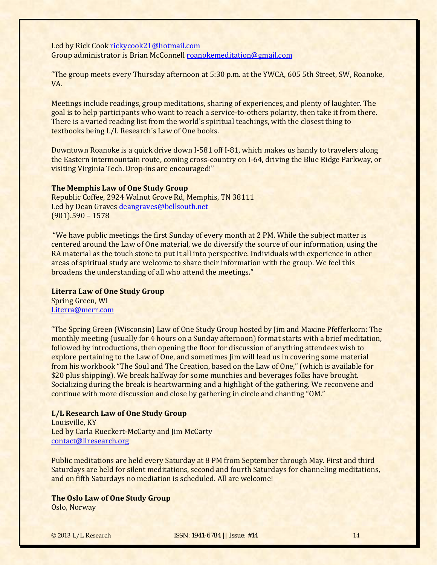Led by Rick Cook rickycook21@hotmail.com Group administrator is Brian McConnell roanokemeditation@gmail.com

"The group meets every Thursday afternoon at 5:30 p.m. at the YWCA, 605 5th Street, SW, Roanoke, VA. 

Meetings include readings, group meditations, sharing of experiences, and plenty of laughter. The goal is to help participants who want to reach a service-to-others polarity, then take it from there. There is a varied reading list from the world's spiritual teachings, with the closest thing to textbooks being L/L Research's Law of One books.

Downtown Roanoke is a quick drive down I-581 off I-81, which makes us handy to travelers along the Eastern intermountain route, coming cross-country on I-64, driving the Blue Ridge Parkway, or visiting Virginia Tech. Drop-ins are encouraged!"

#### **The Memphis Law of One Study Group**

Republic Coffee, 2924 Walnut Grove Rd, Memphis, TN 38111 Led by Dean Graves deangraves@bellsouth.net  $(901)$ .590 - 1578

"We have public meetings the first Sunday of every month at 2 PM. While the subject matter is centered around the Law of One material, we do diversify the source of our information, using the RA material as the touch stone to put it all into perspective. Individuals with experience in other areas of spiritual study are welcome to share their information with the group. We feel this broadens the understanding of all who attend the meetings."

#### **Literra Law of One Study Group**

Spring Green, WI Literra@merr.com

"The Spring Green (Wisconsin) Law of One Study Group hosted by Jim and Maxine Pfefferkorn: The monthly meeting (usually for 4 hours on a Sunday afternoon) format starts with a brief meditation, followed by introductions, then opening the floor for discussion of anything attendees wish to explore pertaining to the Law of One, and sometimes Jim will lead us in covering some material from his workbook "The Soul and The Creation, based on the Law of One," (which is available for \$20 plus shipping). We break halfway for some munchies and beverages folks have brought. Socializing during the break is heartwarming and a highlight of the gathering. We reconvene and continue with more discussion and close by gathering in circle and chanting "OM."

#### **L/L Research Law of One Study Group**

Louisville, KY Led by Carla Rueckert-McCarty and Jim McCarty contact@llresearch.org

Public meditations are held every Saturday at 8 PM from September through May. First and third Saturdays are held for silent meditations, second and fourth Saturdays for channeling meditations, and on fifth Saturdays no mediation is scheduled. All are welcome!

## **The Oslo Law of One Study Group**

Oslo, Norway